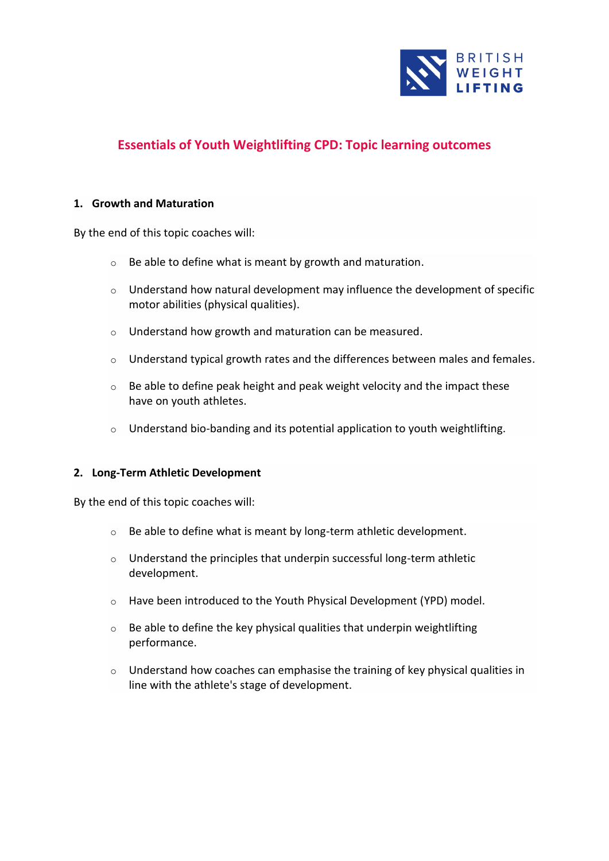

# **Essentials of Youth Weightlifting CPD: Topic learning outcomes**

#### **1. Growth and Maturation**

By the end of this topic coaches will:

- o Be able to define what is meant by growth and maturation.
- o Understand how natural development may influence the development of specific motor abilities (physical qualities).
- o Understand how growth and maturation can be measured.
- $\circ$  Understand typical growth rates and the differences between males and females.
- $\circ$  Be able to define peak height and peak weight velocity and the impact these have on youth athletes.
- $\circ$  Understand bio-banding and its potential application to youth weightlifting.

#### **2. Long-Term Athletic Development**

By the end of this topic coaches will:

- o Be able to define what is meant by long-term athletic development.
- o Understand the principles that underpin successful long-term athletic development.
- o Have been introduced to the Youth Physical Development (YPD) model.
- $\circ$  Be able to define the key physical qualities that underpin weightlifting performance.
- o Understand how coaches can emphasise the training of key physical qualities in line with the athlete's stage of development.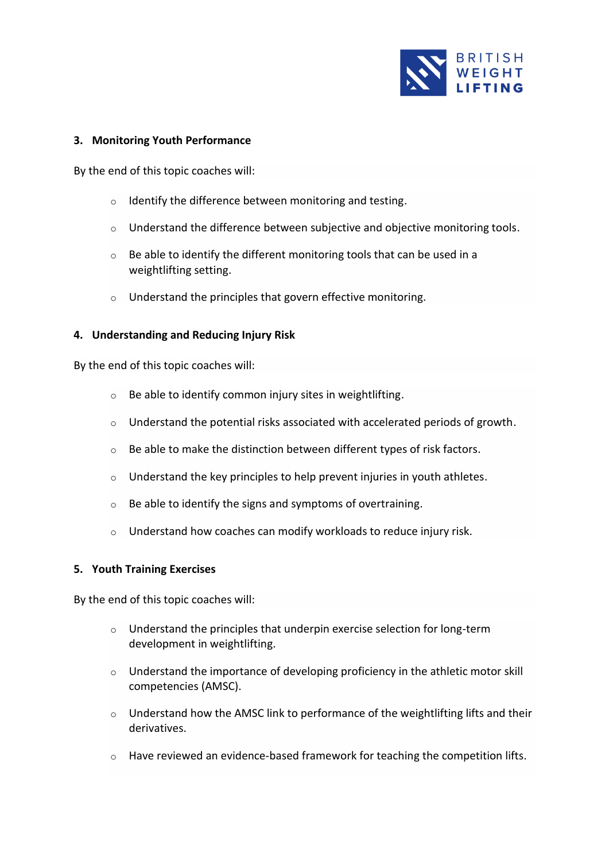

## **3. Monitoring Youth Performance**

By the end of this topic coaches will:

- o Identify the difference between monitoring and testing.
- $\circ$  Understand the difference between subjective and objective monitoring tools.
- $\circ$  Be able to identify the different monitoring tools that can be used in a weightlifting setting.
- o Understand the principles that govern effective monitoring.

### **4. Understanding and Reducing Injury Risk**

By the end of this topic coaches will:

- o Be able to identify common injury sites in weightlifting.
- o Understand the potential risks associated with accelerated periods of growth.
- o Be able to make the distinction between different types of risk factors.
- o Understand the key principles to help prevent injuries in youth athletes.
- o Be able to identify the signs and symptoms of overtraining.
- o Understand how coaches can modify workloads to reduce injury risk.

### **5. Youth Training Exercises**

By the end of this topic coaches will:

- o Understand the principles that underpin exercise selection for long-term development in weightlifting.
- o Understand the importance of developing proficiency in the athletic motor skill competencies (AMSC).
- $\circ$  Understand how the AMSC link to performance of the weightlifting lifts and their derivatives.
- o Have reviewed an evidence-based framework for teaching the competition lifts.